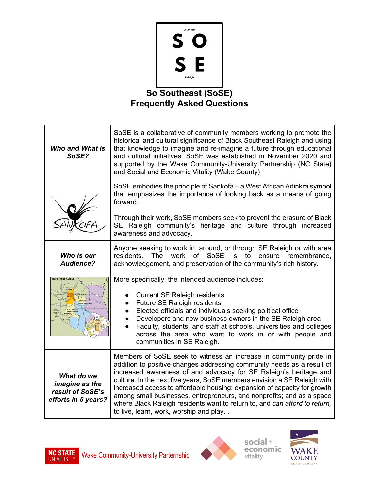

## **Frequently Asked Questions**

| <b>Who and What is</b><br>SoSE?                                         | SoSE is a collaborative of community members working to promote the<br>historical and cultural significance of Black Southeast Raleigh and using<br>that knowledge to imagine and re-imagine a future through educational<br>and cultural initiatives. SoSE was established in November 2020 and<br>supported by the Wake Community-University Partnership (NC State)<br>and Social and Economic Vitality (Wake County)                                                                                                                                                   |
|-------------------------------------------------------------------------|---------------------------------------------------------------------------------------------------------------------------------------------------------------------------------------------------------------------------------------------------------------------------------------------------------------------------------------------------------------------------------------------------------------------------------------------------------------------------------------------------------------------------------------------------------------------------|
|                                                                         | SoSE embodies the principle of Sankofa – a West African Adinkra symbol<br>that emphasizes the importance of looking back as a means of going<br>forward.                                                                                                                                                                                                                                                                                                                                                                                                                  |
|                                                                         | Through their work, SoSE members seek to prevent the erasure of Black<br>SE Raleigh community's heritage and culture through increased<br>awareness and advocacy.                                                                                                                                                                                                                                                                                                                                                                                                         |
| Who is our<br>Audience?                                                 | Anyone seeking to work in, around, or through SE Raleigh or with area<br>work of SoSE is<br>to<br>residents.<br>The<br>ensure<br>remembrance,<br>acknowledgement, and preservation of the community's rich history.                                                                                                                                                                                                                                                                                                                                                       |
| <b>SOUTHEAST RALEIGH</b>                                                | More specifically, the intended audience includes:<br><b>Current SE Raleigh residents</b><br>Future SE Raleigh residents<br>$\bullet$<br>Elected officials and individuals seeking political office<br>$\bullet$<br>Developers and new business owners in the SE Raleigh area<br>Faculty, students, and staff at schools, universities and colleges<br>across the area who want to work in or with people and<br>communities in SE Raleigh.                                                                                                                               |
| What do we<br>imagine as the<br>result of SoSE's<br>efforts in 5 years? | Members of SoSE seek to witness an increase in community pride in<br>addition to positive changes addressing community needs as a result of<br>increased awareness of and advocacy for SE Raleigh's heritage and<br>culture. In the next five years, SoSE members envision a SE Raleigh with<br>increased access to affordable housing; expansion of capacity for growth<br>among small businesses, entrepreneurs, and nonprofits; and as a space<br>where Black Raleigh residents want to return to, and can afford to return,<br>to live, learn, work, worship and play |